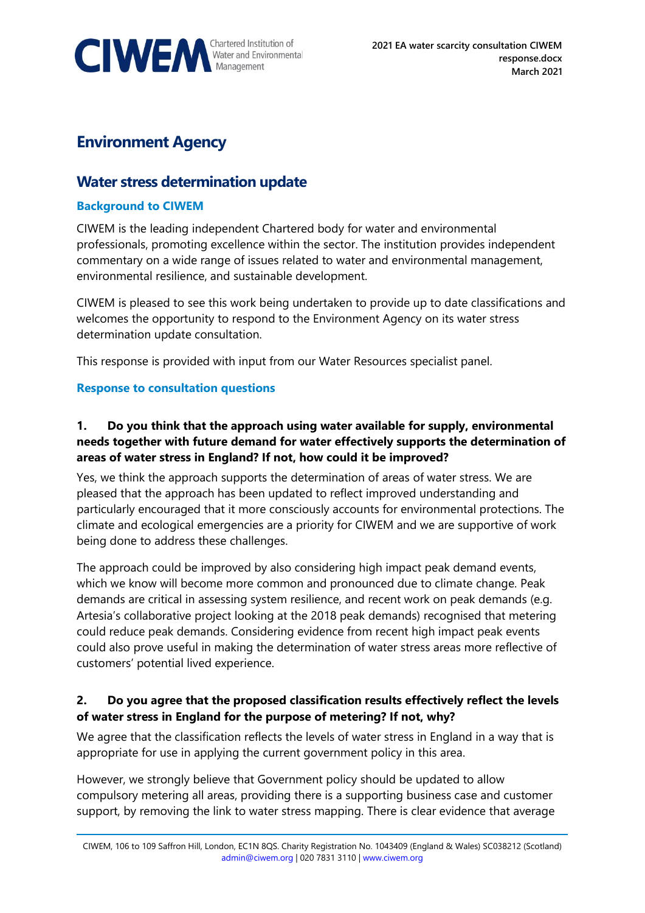

# **Environment Agency**

# **Water stress determination update**

#### **Background to CIWEM**

CIWEM is the leading independent Chartered body for water and environmental professionals, promoting excellence within the sector. The institution provides independent commentary on a wide range of issues related to water and environmental management, environmental resilience, and sustainable development.

CIWEM is pleased to see this work being undertaken to provide up to date classifications and welcomes the opportunity to respond to the Environment Agency on its water stress determination update consultation.

This response is provided with input from our Water Resources specialist panel.

#### **Response to consultation questions**

#### **1. Do you think that the approach using water available for supply, environmental needs together with future demand for water effectively supports the determination of areas of water stress in England? If not, how could it be improved?**

Yes, we think the approach supports the determination of areas of water stress. We are pleased that the approach has been updated to reflect improved understanding and particularly encouraged that it more consciously accounts for environmental protections. The climate and ecological emergencies are a priority for CIWEM and we are supportive of work being done to address these challenges.

The approach could be improved by also considering high impact peak demand events, which we know will become more common and pronounced due to climate change. Peak demands are critical in assessing system resilience, and recent work on peak demands (e.g. Artesia's collaborative project looking at the 2018 peak demands) recognised that metering could reduce peak demands. Considering evidence from recent high impact peak events could also prove useful in making the determination of water stress areas more reflective of customers' potential lived experience.

# **2. Do you agree that the proposed classification results effectively reflect the levels of water stress in England for the purpose of metering? If not, why?**

We agree that the classification reflects the levels of water stress in England in a way that is appropriate for use in applying the current government policy in this area.

However, we strongly believe that Government policy should be updated to allow compulsory metering all areas, providing there is a supporting business case and customer support, by removing the link to water stress mapping. There is clear evidence that average

CIWEM, 106 to 109 Saffron Hill, London, EC1N 8QS. Charity Registration No. 1043409 (England & Wales) SC038212 (Scotland) [admin@ciwem.org](mailto:admin@ciwem.org) | 020 7831 3110 | [www.ciwem.org](http://www.ciwem.org/)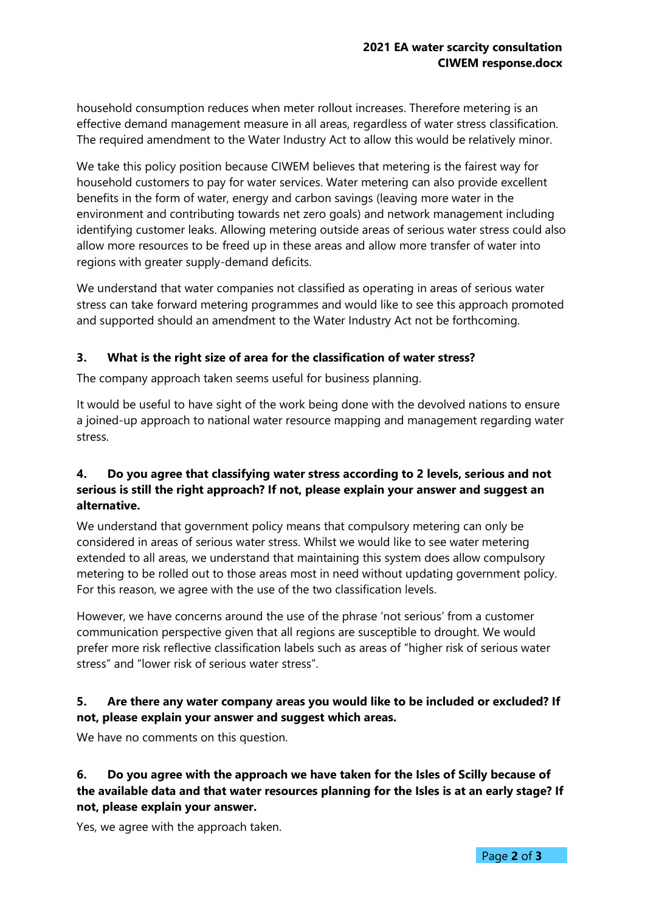household consumption reduces when meter rollout increases. Therefore metering is an effective demand management measure in all areas, regardless of water stress classification. The required amendment to the Water Industry Act to allow this would be relatively minor.

We take this policy position because CIWEM believes that metering is the fairest way for household customers to pay for water services. Water metering can also provide excellent benefits in the form of water, energy and carbon savings (leaving more water in the environment and contributing towards net zero goals) and network management including identifying customer leaks. Allowing metering outside areas of serious water stress could also allow more resources to be freed up in these areas and allow more transfer of water into regions with greater supply-demand deficits.

We understand that water companies not classified as operating in areas of serious water stress can take forward metering programmes and would like to see this approach promoted and supported should an amendment to the Water Industry Act not be forthcoming.

#### **3. What is the right size of area for the classification of water stress?**

The company approach taken seems useful for business planning.

It would be useful to have sight of the work being done with the devolved nations to ensure a joined-up approach to national water resource mapping and management regarding water stress.

# **4. Do you agree that classifying water stress according to 2 levels, serious and not serious is still the right approach? If not, please explain your answer and suggest an alternative.**

We understand that government policy means that compulsory metering can only be considered in areas of serious water stress. Whilst we would like to see water metering extended to all areas, we understand that maintaining this system does allow compulsory metering to be rolled out to those areas most in need without updating government policy. For this reason, we agree with the use of the two classification levels.

However, we have concerns around the use of the phrase 'not serious' from a customer communication perspective given that all regions are susceptible to drought. We would prefer more risk reflective classification labels such as areas of "higher risk of serious water stress" and "lower risk of serious water stress".

#### **5. Are there any water company areas you would like to be included or excluded? If not, please explain your answer and suggest which areas.**

We have no comments on this question.

#### **6. Do you agree with the approach we have taken for the Isles of Scilly because of the available data and that water resources planning for the Isles is at an early stage? If not, please explain your answer.**

Yes, we agree with the approach taken.